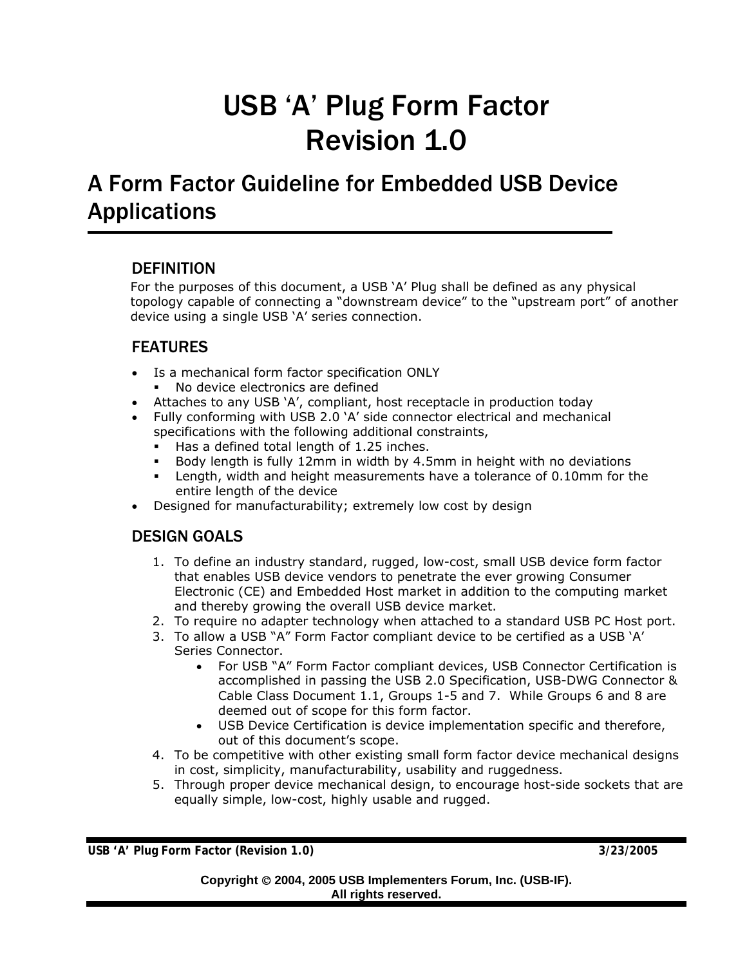# USB 'A' Plug Form Factor Revision 1.0

## A Form Factor Guideline for Embedded USB Device Applications

### DEFINITION

For the purposes of this document, a USB 'A' Plug shall be defined as any physical topology capable of connecting a "downstream device" to the "upstream port" of another device using a single USB 'A' series connection.

## FEATURES

- Is a mechanical form factor specification ONLY
	- No device electronics are defined
- Attaches to any USB 'A', compliant, host receptacle in production today
- Fully conforming with USB 2.0 'A' side connector electrical and mechanical specifications with the following additional constraints,
	- Has a defined total length of 1.25 inches.
	- Body length is fully 12mm in width by 4.5mm in height with no deviations
	- Length, width and height measurements have a tolerance of 0.10mm for the entire length of the device
- Designed for manufacturability; extremely low cost by design

## DESIGN GOALS

- 1. To define an industry standard, rugged, low-cost, small USB device form factor that enables USB device vendors to penetrate the ever growing Consumer Electronic (CE) and Embedded Host market in addition to the computing market and thereby growing the overall USB device market.
- 2. To require no adapter technology when attached to a standard USB PC Host port.
- 3. To allow a USB "A" Form Factor compliant device to be certified as a USB 'A' Series Connector.
	- For USB "A" Form Factor compliant devices, USB Connector Certification is accomplished in passing the USB 2.0 Specification, USB-DWG Connector & Cable Class Document 1.1, Groups 1-5 and 7. While Groups 6 and 8 are deemed out of scope for this form factor.
	- USB Device Certification is device implementation specific and therefore, out of this document's scope.
- 4. To be competitive with other existing small form factor device mechanical designs in cost, simplicity, manufacturability, usability and ruggedness.
- 5. Through proper device mechanical design, to encourage host-side sockets that are equally simple, low-cost, highly usable and rugged.

**USB 'A' Plug Form Factor (Revision 1.0) 3/23/2005**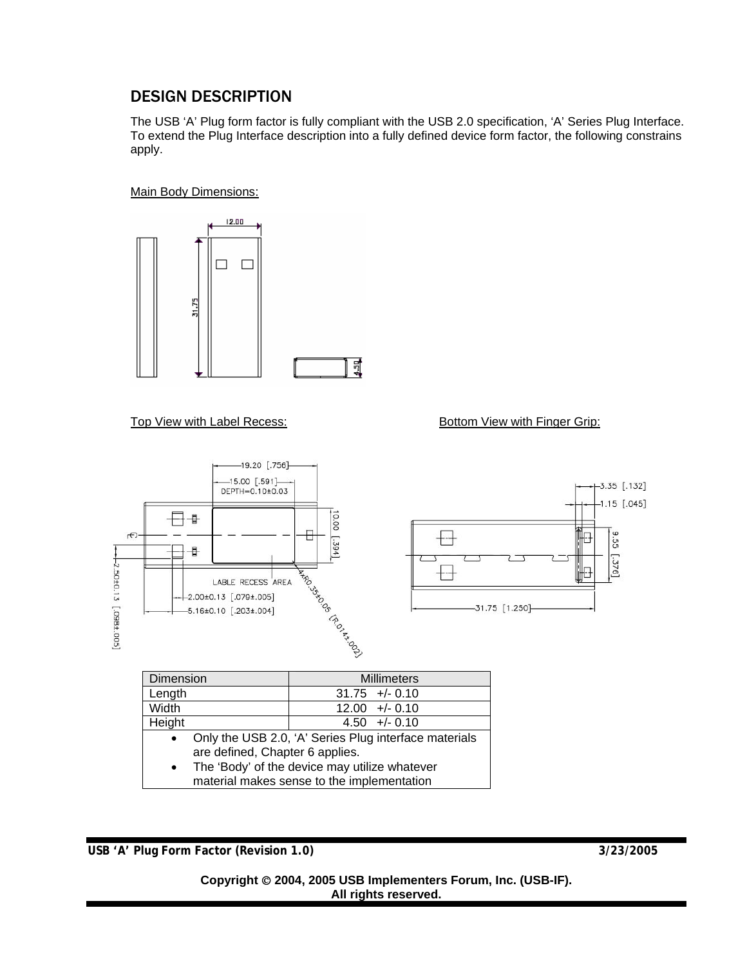## DESIGN DESCRIPTION

The USB 'A' Plug form factor is fully compliant with the USB 2.0 specification, 'A' Series Plug Interface. To extend the Plug Interface description into a fully defined device form factor, the following constrains apply.

#### Main Body Dimensions:



Top View with Label Recess: Bottom View with Finger Grip:



| Dimension |                                                       | <b>Millimeters</b> |                  |
|-----------|-------------------------------------------------------|--------------------|------------------|
| Length    |                                                       |                    | $31.75 +/- 0.10$ |
| Width     |                                                       |                    | $12.00 +/- 0.10$ |
| Height    |                                                       |                    | $4.50 + -0.10$   |
| $\bullet$ | Only the USB 2.0, 'A' Series Plug interface materials |                    |                  |
|           | are defined, Chapter 6 applies.                       |                    |                  |
|           | • The 'Body' of the device may utilize whatever       |                    |                  |
|           | material makes sense to the implementation            |                    |                  |

**USB 'A' Plug Form Factor (Revision 1.0) 3/23/2005** 

#### **Copyright** © **2004, 2005 USB Implementers Forum, Inc. (USB-IF). All rights reserved.**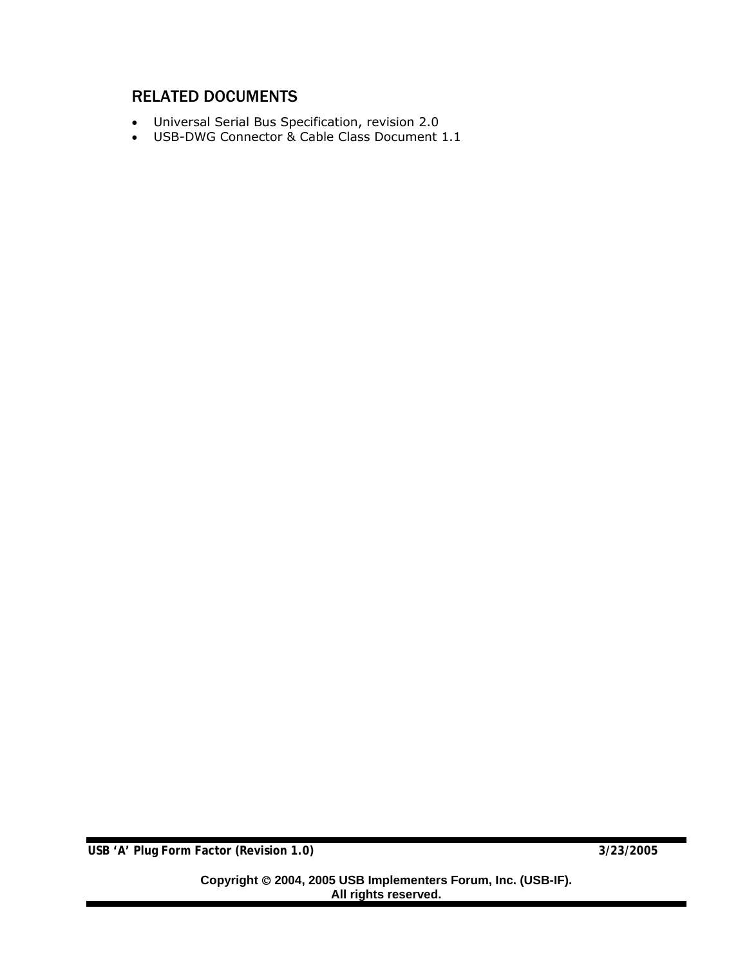## RELATED DOCUMENTS

- Universal Serial Bus Specification, revision 2.0
- USB-DWG Connector & Cable Class Document 1.1

**USB 'A' Plug Form Factor (Revision 1.0) 3/23/2005**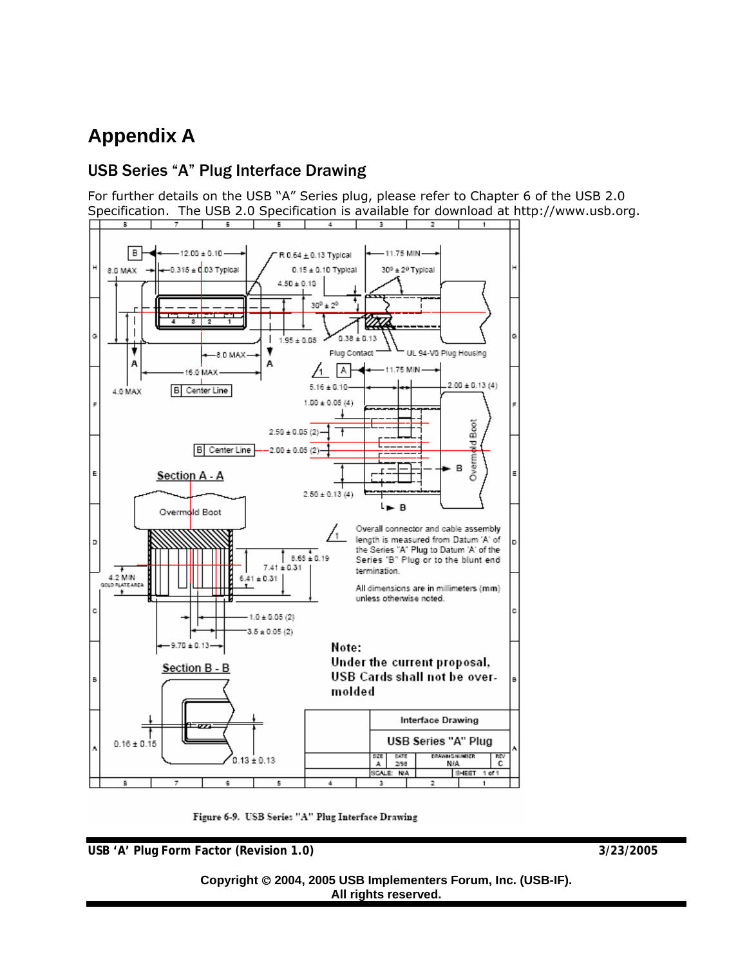## **Appendix A**

## USB Series "A" Plug Interface Drawing

For further details on the USB "A" Series plug, please refer to Chapter 6 of the USB 2.0 Specification. The USB 2.0 Specification is available for download at http://www.usb.org.



Figure 6-9. USB Series "A" Plug Interface Drawing

**USB 'A' Plug Form Factor (Revision 1.0) 3/23/2005** 

#### **Copyright** © **2004, 2005 USB Implementers Forum, Inc. (USB-IF). All rights reserved.**